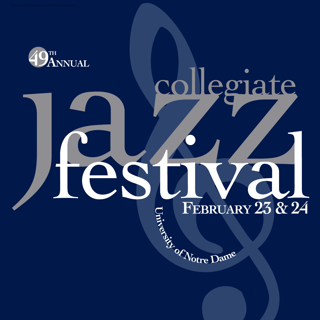

# egiate

# $\blacksquare$ FEBRUARY 23 & 24

FEBRUAR<br>Radio Company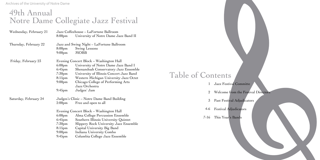| Wednesday, February 21 | Jazz Coffeehouse - LaFortune Ballroom                                                                                     |                                                                                                                                                                                                                                                                        |                   |               |
|------------------------|---------------------------------------------------------------------------------------------------------------------------|------------------------------------------------------------------------------------------------------------------------------------------------------------------------------------------------------------------------------------------------------------------------|-------------------|---------------|
|                        | 8:00 <sub>pm</sub>                                                                                                        | University of Notre Dame Jazz Band II                                                                                                                                                                                                                                  |                   |               |
| Thursday, February 22  | 8:00 <sub>pm</sub><br>9:00 <sub>pm</sub>                                                                                  | Jazz and Swing Night - LaFortune Ballroom<br>Swing Lessons<br><b>MOBB</b>                                                                                                                                                                                              |                   |               |
| Friday, February 23    | 6:00 <sub>pm</sub><br>$6:45$ pm<br>7:30 <sub>pm</sub><br>8:15 <sub>pm</sub><br>9:00 <sub>pm</sub>                         | Evening Concert Block – Washington Hall<br>University of Notre Dame Jazz Band I<br>Shenandoah Conservatory Jazz Ensemble<br>University of Illinois Concert Jazz Band<br>Western Michigan University Jazz Octet<br>Chicago College of Performing Arts<br>Jazz Orchestra | Table of Contents | Jazz Festiva  |
|                        | $9:45$ pm                                                                                                                 | Judges' Jam                                                                                                                                                                                                                                                            |                   | Welcome fro   |
| Saturday, February 24  | 2:00 <sub>pm</sub>                                                                                                        | Judges's Clinic – Notre Dame Band Building<br>Free and open to all                                                                                                                                                                                                     | 3                 | Past Festival |
|                        | Evening Concert Block – Washington Hall                                                                                   |                                                                                                                                                                                                                                                                        | $4-6$             | Festival Adju |
|                        | 6:00 <sub>pm</sub><br>$6:45$ pm<br>7:30 <sub>pm</sub><br>8:15 <sub>pm</sub><br>9:00 <sub>pm</sub><br>$9:45$ <sub>pm</sub> | Alma College Percussion Ensemble<br>Southern Illinois University Quintet<br>Slippery Rock University Jazz Ensemble<br>Capital University Big Band<br>Indiana University Combo<br>Columbia College Jazz Ensemble                                                        | $7 - 16$          | This Year's I |

I Committe

om the Festival Directors

l Adjudicators

udicat<mark>o</mark>rs

 $\operatorname{Bands}$ 

### 49th Annual Notre Dame Collegiate Jazz Festival

Archives of the University of Notre Dame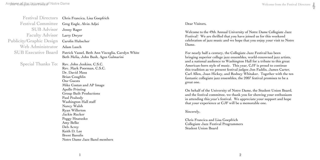Dear Visitors,

Welcome to the 49th Annual University of Notre Dame Collegiate Jazz Festival! We are thrilled that you have joined us for this weekend celebration of jazz music and we hope that you enjoy your visit to Notre Dame.

For nearly half a century, the Collegiate Jazz Festival has been bringing superior college jazz ensembles, world-renowned jazz artists, and a national audience to Washington Hall for a tribute to this great American-born style of music. This year, CJF is proud to continue this tradition as we present festival judges Jon Faddis, James Carter, Carl Allen, Joan Hickey, and Rodney Whitaker. Together with the ten fantastic collegiate jazz ensembles, the 2007 festival promises to be a great one.

On behalf of the University of Notre Dame, the Student Union Board, and the festival committee, we thank you for showing your enthusiasm in attending this year's festival. We appreciate your support and hope that your experience at CJF will be a memorable one.

Sincerely,

Chris Francica and Lisa Goepfrich Collegiate Jazz Festival Programmers Student Union Board



| <b>Festival Directors</b>       | Chris Francica, Lisa Goepfrich                                                                                                                                                                                                                                                                                                                                                                                         |
|---------------------------------|------------------------------------------------------------------------------------------------------------------------------------------------------------------------------------------------------------------------------------------------------------------------------------------------------------------------------------------------------------------------------------------------------------------------|
| <b>Festival Committee</b>       | Greg Engle, Alvin Adjei                                                                                                                                                                                                                                                                                                                                                                                                |
| <b>SUB Advisor</b>              | Jenny Rager                                                                                                                                                                                                                                                                                                                                                                                                            |
| <b>Faculty Advisor</b>          | Larry Dwyer                                                                                                                                                                                                                                                                                                                                                                                                            |
| <b>Publicity/Graphic Design</b> | Carolin Hubscher                                                                                                                                                                                                                                                                                                                                                                                                       |
| Web Administrator               | Adam Lusch                                                                                                                                                                                                                                                                                                                                                                                                             |
| <b>SUB Executive Board</b>      | Patrick Vassel, Beth Ann Visceglia, Carolyn White<br>Beth Melia, John Bush, Agus Galmarini                                                                                                                                                                                                                                                                                                                             |
| Special Thanks To:              | Rev. John Jenkins, C.S.C.<br>Rev. Mark Poorman, C.S.C.<br>Dr. David Moss<br>Brian Coughlin<br><b>Our Guests</b><br>Mike Costan and AP Image<br><b>Apollo Printing</b><br><b>Group Built Productions</b><br>Paul Peabody<br>Washington Hall staff<br>Nancy Walsh<br>Ryan Willerton<br>Jackie Rucker<br>Peggy Hnatusko<br>Amy Belke<br>Deb Acrey<br>Keith D. Lee<br><b>Brent Banulis</b><br>Notre Dame Jazz Band members |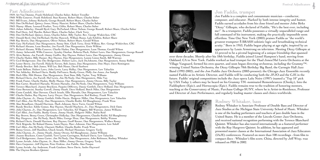Jon Faddis, trumpet Jon Faddis is a complete and consummate musician—conductor,

composer, and educator. Marked by both intense integrity and humor, Faddis earned accolades from his close friend and mentor John Birks "Dizzy" Gillespie, who declared of Faddis, "He's the best ever, including me!" As a trumpeter, Faddis possesses a virtually unparalleled range and full command of his instrument, making the practically impossible seem effortless. Time Out New York (2003) praises Faddis as "the world's greatest trumpeter Š BRASH soloistic logic and breathtaking technical acuity." Born in 953, Faddis began playing at age eight, inspired by an appearance by Louis Armstrong on television. Meeting Dizzy Gillespie at 5 proved to be a pivotal beginning of a unique friendship that spanned over three decades. Shortly after his 18th birthday, Faddis joined Lionel Hampton's band, moving from Oakland, CA to New York. Faddis worked as lead trumpet for the Thad Jones/Mel Lewis Orchestra at the Village Vanguard, formed his own quartet, and soon began directing orchestras, including the Grammy™ winning United Nation Orchestra, the Dizzy Gillespie 70th Birthday Big Band, the Carnegie Hall Jazz Band (992-2002), and the Jon Faddis Jazz Orchestra (2003-present); the Chicago Jazz Ensemble recently named Faddis as its Artistic Director, and Faddis will be conducting both the JFJO and the CJE in the future. Faddis' original compositions include the Jazz opera Lulu Noire (1997) (named a "Top 10" pick by USA Today ); others may be heard on his Grammy TM -nominated Remembrances (Chesky), Into the Faddisphere (Epic), and Hornucopia (Epic). Faddis remains true to the tradition of honoring mentors, teaching at the Conservatory of Music, Purchase College-SUNY, where he is Artist-in-Residence, Professor and Director of Jazz Performance, and regularly leading master classes and clinics worldwide.



Rodney Whitaker, bass Rodney Whitaker is Associate Professor of Double Bass and Director of Jazz Studies at the Michigan State University School of Music. Whitaker is one of the leading performers and teachers of jazz double bass in the United States. He is a member of the Lincoln Center Jazz Orchestra, and received national recognition performing with the Terence Blanchard Quintet. Whitaker has also toured internationally as a featured performer with the Roy Hargrove Quintet. In addition, he has appeared and presented master classes at the International Association of Jazz Educators (IAJE) conferences. Featured on more than 100 recordings - from film to compact discs - Whitaker's film score, China, directed by Jeff Wray, was released on PBS in 2002.

### Arohives of the University of Notre Dame

### Past Adjudicators

1959: Art Van Damme, Frank Holzfiend, Charles Suber, Robert Trendler 1960: Willis Conover, Frank Holzfiend, Stan Kenton, Robert Share, Charles Suber 1961: Bill Evans, Johnny Richards, George Russell, Robert Share, Charles Suber 962: Don DeMichael, Quincy Jones, Henry Mancini, Robert Share, Charles Suber 963: Manny Albam, Leonard Feather, Terry Gibbs, Robert Share, Charles Suber 964: Julian Adderley, Donald Byrd, Gary McFarland, Oliver Nelson, George Russell, Robert Share, Charles Suber 965: Paul Horn, Arif Mardin, Robert Share, Charles Suber, Clark Terry 966: Don DeMichael, Quincy Jones, Charles Suber, Billy Taylor, Rev. George Wiskirchen, CSC 967: Donald Byrd, Don DeMichael, Herbie Hancock, William Russo, Lalo Schifrin, Robert Share 968: Ray Brown, Dan Morgenstern, Oliver Nelson, Robert Share, Gerald Wilson 969: Gary McFarland, Dan Morgenstern, Sonny Stitt, Clark Terry, Ernie Wilkins, Rev. George Wiskirchen, CSC 970: Richard Abrams, Leon Breeden, Joe Farrell, Dan Morgenstern, Ernie Wilkins 1971: Richard Abrams, Willis Conover, Charlie Haden, Dan Morgenstern, Leon Thomas, Gerald Wilson 972: Jamey Aebersold, Willis Conover, Aynsley Dunbar, Roberta Flack, Hubert Laws, Dan Morgenstern, George Russell 973: Alvin Batiste, Joe Farrell, Jimmy Guiffre, Roy Haynes, Hubert Laws, Dan Morgenstern, Jimmy Owens 974: Charlie Haden, Billy Harper, Roy Haynes, Dan Morgenstern, Lonnie Liston Smith, Bill Watrous 975: Cecil Bridgewater, Dee Dee Bridgewater, Hubert Laws, Jack DeJohnette, Dan Morgenstern, Sonny Rollins 1976: Lester Bowie, Joe Farrell, Malachi Favors, Bob James, Dan Morgenstern, Don Moye, Dave Remington 977: Randy Brecker, Bob James, Will Lee, Bob Moses, David Sanborn 978: Louie Bellson, Hubert Laws, John Lewis, Larry Ridley, Dan Morgenstern, Lew Tabackin 979: Nat Adderley, Richard Davis, Buddy DeFranco, Bunky Green, Philly Joe Jones, Joe Sample 980: Herb Ellis, Milt Hinton, Dan Morgenstern, Zoot Sims, Billy Taylor, Tony Williams 1981: Richard Davis, Joe Farrell, Mel Lewis, Jim McNeely, Dan Morgenstern, Mike Vax 982: Frank Foster, Charlie Haden, Shelly Manne, Dan Morgenstern, Jimmy Owens, Billy Taylor 983: Ron Carter, Branford Marsalis, Wynton Marsalis, Jim McNeely, Dan Morgenstern, Tony Williams 984: Terence Blanchard, Joanne Brackeen, Paquito DiRivera, Danny Gottlieb, Dave Holland, Dan Morgenstern 985: Gene Bertoncini, Stanley Cowell, Jimmy Heath, Dave Holland, Butch Miles, Dan Morgenstern 986: Conte Candoli, Alan Dawson, Chuck Israels, Ellis Marsalis, Dan Morgenstern, Lew Tabackin 987: Charlie Haden, Roy Haynes, Larry Dwyer, Dan Morgenstern, Red Rodney, Frank Wess 988: John Clayton, Jr., Danny Gottlieb, Eddie Harris, Mulgrew Miller, Dan Morgenstern, Lew Tabackin 989: Carl Allen, Jim McNeely, Dan Morgenstern, Claudio Roditi, Ed Shaughnessy, Frank Wess 990: Alan Broadbent, Donald Harrison, Mark Johnson, Steve Turre, Gerald Wilson 1991: Randy Brecker, Eddie Gomez, Roy Haynes, Harold Maybern, Jr., Dan Morgenstern, Dick Oatts 992: John Clayton, Jr., Dan Morgenstern, Lew Tabackin, Ed Thigpen, Bill Watrous, James Williams 993: Carl Allen, Jon Faddis, Bunky Green, Jimmy Heath, Mulgrew Miller, Rufus Reid 994: Ray Brown, Benny Green, Christopher Hollyday, Dan Morgenstern, Claudio Roditi, Ed Shaughnessy 995: Roy Hargrove, Jim McNeely, Butch Miles, George Mraz, Dan Morgenstern, Bobby Watson 996: Richard Davis, Donald Harrison, Roy Haynes, Geoff Keezer, Dan Morgenstern, Wallace Roney 997: Nick Brignola, Sir Roland Hanna, Louis Hayes, Marc Johnson, Dan Morgenstern, Lew Soloff 998: Carl Allen, Jim McNeely, Charnett Moffett, Claudio Roditi, Frank Wess 999: Benny Green, Jeff Hamilton, Chuck Israels, Michael Mossman, Gregory Tardy 2000: John Clayton, Jr., Jimmy Heath, Jimmy Owens, Ed Shaughnessy, James Williams 2001: Joanne Brackeen, Conte Candoli, Terri Lynne Carrington, Richard Davis, Lew Tabackin 2002: Cecil Bridgewater, James Carter, Jim McNeely, Dan Morgenstern, John Robinson, Rodney Whitaker 2003: Lynne Arriale, John Clayton, Jr., Russ Miller, Jimmy Owens, Gregory Tardy 2004: Dave Carpenter, Jeff Clayton, Peter Erskine, Jon Faddis, Alan Pasqua 2005: Lynne Arriale, Jay Anderson, Frank Catalano, Steve Davis, Andre Hayward 2006: The Clayton Brothers Quintet



3

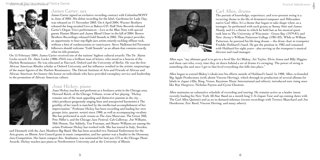### Arghives of the University of Notre Dame



#### James Carter, sax

James Carter signed an exclusive recording contract with Columbia/SONY in June of 2002. His debut recording for the label, Gardenias for Lady Day, was released on 11 November 2003. On 6 April 2004, Warner Brothers released the long-awaited Live at Bakers CD. Half Note Records released Carter's Organ Trio's performances – Live at the Blue Note with special guests Hamiet Bluiett and James Blood Ulmer in the fall of 2004. Brown Brothers Recordings released Gold Sounds in 2005. This project provides an opportunity to hear top-flight jazz artists smartly tackling offbeat rock, without a hint of condescension or contrivance. Steve Malkmus-led Pavement followers should welcome "Gold Sounds" as an album that contains exactly what its title promises.

On 5 February 2004, James Carter received one of the nations' highest cultural awards: The Dr. Alaine Locke award. Dr. Alain Locke (1886-1954) was a brilliant man of letters, who stood as a beacon of the Harlem Renaissance. He was educated at Harvard, Oxford and the University of Berlin. He was the first African American Rhodes scholar at Oxford University and his influence resulted in the artistic outpourings of the major figures of the Harlem Renaissance. The Detroit Institute of Arts and Friends of African and African American Art bestow this honor on individuals who have provided exemplary service and leadership in the promotion of African American culture.



### Joan Hickey, piano

Joan Hickey teaches and performs as a freelance artist in the Chicago area. Howard Reich, of the Chicago Tribune, wrote of her playing, "Hickey remains one of the most appealing and distinctive pianists in the city ... (she) produces gorgeously singing lines and unexpected harmonies ä The gentility of her touch is matched by the intellectual accomplishment of her improvisation." Professor Hickey has been recording and leading her own groups (trio, quartet. sextet) since 1980, as well as accompanying vocalists. She has performed in such venues as The Jazz Showcase, The Green Mill, Pete Miller's, and the Chicago Jazz Festival. Cab Calloway, Joe Williams, Milt Hinton, Nat Adderly, Von Freeman, and Buster Williams are among the artists Professor Hickey has worked with. She has toured in Italy, Sweden,

and Denmark with the Jazz Members Big Band. She has been awarded two National Endowment for the Arts grants, an Illinois Arts Council grant in music composition, and her quintet was a finalist in the Hennessy Jazz Competition. Her latest compact disc, Soulmates, was nominated for best jazz CD at the Chicago Music Awards. Hickey teaches jazz piano at Northwestern University and at the University of Illinois.



Carl Allen, drums The pursuit of knowledge, experience, and ever-present swing is a recurring theme in the life of drummer/composer and Milwaukee native Carl Allen. It's a theme that began to take shape when, as a teenager, he performed with such greats as Sonny Stitt and James Moody and it's a theme to which he held fast as his musical quest took him to The University of Wisconsin - Green Bay (1979-81) and New Jersey's William Patterson College (1981-83). While at William Patterson, he pursued his life-long dream -- the drum chair in trumpeter Freddie Hubbard's band. He got the position in 1982 and remained with Hubbard for eight years - also serving as the trumpeter's musical director and road manager.

Allen says, "my ultimate goal is to get to a level like Art Blakey, Art Taylor, Elvin Jones and Billy Higgins and these cats who, every time they sit down behind a set of drums it's swinging. The power of swing is something else and once I get to that level everything else falls into place."

Allen began to extend Blakey's ideals into his efforts outside of Hubbard's band. In 988, Allen co-founded Big Apple Productions (with altoist Vincent Herring), which through its production of several albums for labels in Japan (Alfa, King, Venus, Keystone Music International and others), introduced now rising stars like Roy Hargrove, Nicholas Payton and Cyrus Chestnut.

Allen maintains an exhaustive schedule of recording and touring. He remains active as a leader (most recently leading his New York All-Star Band on a month long U.S./Japan Tour and up-coming dates with The Carl Allen Quintet) and as an in-demand sideman (recent recordings with Terence Blanchard and Joe Henderson, Eric Reed, Vincent Herring, and many others).

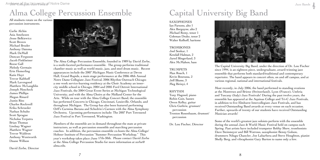The Alma College Percussion Ensemble, founded in 989 by David Zerbe, is a multi-faceted performance ensemble. The group performs traditional chamber music as well as world music, jazz, and steel drum music. Recent appearances include the 2007 Michigan Music Conference at Devos Hall, Grand Rapids, a main stage performance at the 2006 48th Annual Notre Dame Collegiate Jazz Festival, 2006 Rhythm Outreach Chicago; a one week service-learning residency at the Choir Academy an innercity middle school in Chicago, 2004 and 2005 Ford Detroit International Jazz Festivals, the 2004 Great Event Series at Michigan Technological University, and with the Alma Choirs at the Midland Center for the Arts. While on tour with the Alma College Concert Band, the ensemble has performed Concerts in Chicago, Cincinnati, Louisville, Orlando, and throughout Michigan. The Group has also been featured performing Orff's Carmina Burana and Schedrin's Carmen with the Alma Symphony Orchestra. Upcoming performances include: The 2007 Port Townsend Jazz Festival in Port Townsend, Washington.

Members of the ensemble are in demand throughout the state at private instructors, as well as percussion ensemble and marching percussion coaches. In addition, the percussion ensemble co-hosts the Alma College/ Hohner Institute of Percussion "Summer Percussion Workshop." This year's workshop takes place June 17th-30th. Please contact David Zerbe at the Alma College Percussion Studio for more information at zerbe@ alma.edu.

Arghives of the University of Notre Dame

## Alma College Percussion Ensemble

All studnets rotate on the various percussion instruments.

Ian Parsons, alto 1 Alex Borgoyne, alto 2 Michael Remy, tenor Coleman Drake, tenor 2 Walter Kolhoff, baritone

**TROMBONES** Joel Senkar, Kendall Halman, 2 Jared Slingerland, 3 Alex McMahon, bass

**TRUMPETS** Max Roach, 1 Kevin Bourassa, 2 Jeff Blume, 3 Meg Birinyi, 4

Carlie Alchin Asia Ameluxen Jesse Belkiewicz Scott Brown Michael Bruder Anthony Datema Mark DeMull Duncan Ferguson Jacob Finkbeiner Reese Gall Melody Germain Erin Hemerling Katie Hoyt Trevor Kalthoff Mark Lavengood Matthew McLaughlin Joseph Moscheck James Phillips Megan Rinard Justin Rito Charles Rockwell Erika Schroeder Nathan Schulte Scott Sprague Nicholas Terpstra Brian Thomas Lindsay Wagner Matthew Wagner Trevor Waldron Anthony Wentworth Duane Willson

David Zerbe, Director



The Capital University Big Band, under the direction of Dr. Lou Fischer since 1994, is an eighteen piece, undergraduate, award-winning jazz ensemble that performs both standard/traditional and contemporary repertoire. The band appears in concert often, on and off campus, and at various regional, national and international festivals.

Most recently, in July 2006, the band performed to standing ovations at the Montreux and Brienz (Switzerland), Lyon (France), Umbria and Tuscany (Italy) Jazz Festivals! During the past twelve years, the ensemble has appeared at the Aquinas College and Tri-C Jazz Festivals, in addition to five Elmhurst Intercollegiate Jazz Festivals, and has received Outstanding Band awards at every venue on each occasion. Further, upwards of twenty of our students have received Outstanding Musician awards!

Some of the world's greatest jazz soloists perform with the ensemble during the annual Jazz & World Music Festival held on campus each Spring. Past artists have included trumpeter Bobby Shew, trombonists Dave Steinmeyer and Bill Watrous, saxophonist Benny Golson, drummers Ndugu Chancler, Joe Labarbera and Steve Houghton, pianist Shelly Berg, and vibraphonist Gary Burton to name only a few.

### Capital University Big Band

#### SAxOPHONES

#### RHYTHM

Tony Hagood, piano Robin Cain, basses Owen Kelley, guitar Chris Guthrie, grumset/ percussion Trenton Rosenbaum, drumset/ percussion

Dr. Lou Fischer, Director



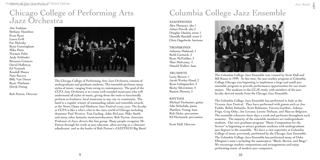The Chicago College of Performing Arts Jazz Orchestra consists of undergraduate and graduate students. The ensemble performs many styles of music, ranging from swing to contemporary. The goal of the CCPA Jazz Orchestra is to create well-rounded musicians who will understand all styles of music, giving them the tools to functionally perform as freelance, local musicians in any city or community. The band is a regular winner of outstanding soloist and ensemble awards at the Notre Dame and Elmhurst Jazz Festival every year. The faculty at CCPA is like a who's who in the Jazz world of Chicago including drummer Paul Wertico, Tom Garling, John McLean, Mike Smith and many other fantastic musician/educators. Rob Parton, Associate Professor of Jazz, directs this fine group. Many people recognize Mr. Parton through his work as jazz educator, often serving as a clinician/ adjudicator, and as the leader of Rob Parton's JAZZTECH Big Band.

Arghives of the University of Notre Dame

### Chicago College of Performing Arts Jazz Orchestra

Jim Tashjian Bethany Hamilton Evan Ryan Laura Grill Pat Mulcahy Ryan Cunningham Mike Potts Norman Palm Andy Schlinder Brennan Connors David Holloway Ed Yanasek Kendall Moore Nate Kucera Billy Van Duzor Ryan Thielman Derek Fitting

Rob Parton, Director



**TROMBONES** Johanna Mahmud, Keith Carmack, 2 Ryan McFadden, 3 Matt Mulvanny, 4 Donald Walker, bass

> The Columbia College Jazz Ensemble was created by Scott Hall and Bill Russo in 999. At this time, the jazz studies program at Columbia College Chicago was beginning to implement a large and small jazz ensemble program to provide performance opportunities for our music majors. The students in the CCJE study with members of the jazz faculty derived mostly from the Chicago Jazz Ensemble.

The Columbia College Jazz Ensemble has performed in Italy at the Vicenza Jazz Festival. They have performed with guests such as Jon Faddis, Robin Eubanks, Scott Robinson, Vincent Gardner, Johnny Frigo, Greg Osby, Joe Lovano, Lennie Niehaus, and Marcus Belgrave. The ensemble rehearses three days a week and performs throughout each semester. The majority of the ensemble members are undergraduate students. Our new graduate program "Music Composition for the Screen" is beginning to attract graduate students with undergraduate jazz degrees to the ensemble. We have a vast repertoire at Columbia College of music previously performed by the Chicago Jazz Ensemble. The Columbia College Jazz Ensemble has performed many of Duke Ellington's suite's including the masterpiece "Black, Brown, and Beige". We encourage student compositions and arrangements and enjoy performing music of modern jazz composers.

### Columbia College Jazz Ensemble

#### SAxOPHONES

Alex Marianyi, alto Jabari Powell, alto 2 Douglas Daniels, tenor Dannille Randall, tenor 2 Chris Dageforde, baritone

#### TRUMPETS

Larry Bowen, Jacob Worley-Hood, 2 Ryan Lofstgaarden, 3 Becky Silvermintz, 4 Ramon Moreno, 5

#### RHYTHM

Michael Tischauser, guitar Adis Sirbubalo, piano Matthew Young, bass Rob Dicke, percussion Ed Hermanek, percussion

Scott Hall, Director



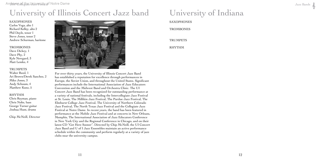For over thirty years, the University of Illinois Concert Jazz Band has established a reputation for excellence through performances in Europe, the Soviet Union, and throughout the United States. Significant performances include the International Association of Jazz Educators Convention and the Midwest Band and Orchestra Clinic. The UI Concert Jazz Band has been recognized for outstanding performance at a variety of national festivals, including the Intercollegiate Jazz Festival at St. Louis, The Millikin Jazz Festival, The Purdue Jazz Festival, The Elmhurst College Jazz Festival, The University of Northern Colorado Jazz Festival, The North Texas Jazz Festival and the Collegiate Jazz Festival at Notre Dame. In recent years, the band has been featured in performance at the Mobile Jazz Festival and at concerts in New Orleans, Memphis, The International Association of Jazz Educators Conference in New York City and the Regional Conference in Chicago, and on their latest CD "Get Here Sooner". Directed by Chip McNeill, the UI Concert Jazz Band and U of I Jazz Ensembles maintain an active performance schedule within the community and perform regularly at a variety of jazz clubs near the university campus.

Jazz Bands



**SAXOPHONES** Carlos Vega, alto 1 Richard Kelley, alto 2 Phil Doyle, tenor 1 Steve Jones, tenor 2 Andrew Schurman, baritone

Arghives of the University of Notre Dame

# University of Illinois Concert Jazz band

#### TROMBONES Dave Dickey, 1 Dave Phy, 2 Kyle Newgard, 3 Matt Lemke, 4

#### TRUMPETS

Walter Reed, Ari Brown/Derek Sanchez, 2 Mike Jones, 3 Andy Schuum, 4 Matthew Kunz, 5

#### RHYTHM

Chris Reyman, piano Chris Nolte, bass George Turner guitar Joshua Hunt, drums

Chip McNeill, Director



University of Indiana SAxOPHONES **TROMBONES TRUMPETS** RHYTHM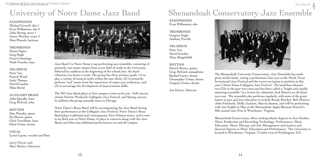Jazz Band I is Notre Dame's top performing jazz ensemble, consisting of primarily non-music majors from every field of study at the University. Selected by audition at the beginning of the school year, the band rehearses two hours a week. The group has three primary goals: (1) to play a variety of musical styles within the jazz idiom, (2) to primarily perform "real" music from the repertoires of major jazz orchestras, and (3) to encourage the development of improvisation skills.

The ND Jazz Band plays at four campus events each year: Fall concert, Junior Parents Weekend, Collegiate Jazz Festival, and Spring concert. In addition the group annually tours in Chicago.

#### **TROMBONES** Moses Papier Greg Engle Grant Cummings Noah Franske, bass

#### **TRUMPETS**

Notre Dame's Brass Band will be accompanying the Jazz Band during their performance at the Collegiate Jazz Festival. Notre Dame's Brass Band plays traditional and contemporary New Orleans music, and is now in its third year at Notre Dame. It plays at concerts along with the Jazz Band, and often has additional performances on and off campus.

## University of Notre Dame Jazz Band

SAxOPHONES Michael Gerardi, alto Evan Williamson, alto 2 John Strong, tenor James Weicher, tenor 2 Matt Ploszek, baritone

Peter Van Patrick Wood Andy Thomas David Condon Mike Brickl

### Shenandoah Conservatory Jazz Ensemble Jazz Bands

AUxILIARY BRASS John Queally, horn Greg McCool, tuba

#### RHYTHM

**TRUMPETS** Peter Van David Condon Mary Beugelsdijk

Dan Murphy, piano Pat Brown, guitar Chris Terschluse, bass Chris Urban, drums

#### VOCAL Lyneè Layne, vocalist and flute

Larry Dwyer and Matt Merten, Directors



The Shenandoah University Conservatory Jazz Ensemble has made great strides lately, noting a performance last year at the North Texas Invitational Jazz Festival and the recent invitation to perform at this year's Notre Dame Collegiate Jazz Festival. The band has released two CDs in the past two years and has been called a "bright and rapidly maturing ensemble" in a review by columnist Jack Bowers on all about jazz.com. The ensemble also performs regularly with some of the great names in jazz and jazz education to include Randy Brecker, Bob Mintzer, John Fedchock, Duffy Jackson, Marvin Stamm, and will be performing with Jon Faddis in May at the Shenandoah Apple Blossom Festival's fifth annual Jazz Fest in Winchester, Virginia.

Shenandoah Conservatory offers undergraduate degrees in Jazz Studies, Music Production and Recording Technology, Performance, Music Education, Music Therapy and Arts Management and masters and doctoral degrees in Music Education and Performance. The University is located in Winchester, Virginia, 75 miles west of Washington, D.C.

SAxOPHONES Evan Williamson, alto

TROMBONES Gregory Engle Anthony Parrish

RHYTHM Patrick Brown, guitar Greg McCool, sousaphone Rashad Carter, drums Christopher Urban, drums Gregory Cruess, drums

Joe Eckert, Director

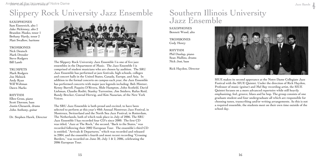The Slippery Rock University Jazz Ensemble I is one of five jazz ensembles in the Department of Music. The Jazz Ensemble I is comprised of student musicians who are chosen by audition. The SRU Jazz Ensemble has performed at jazz festivals, high schools, colleges and concert halls in the United States, Canada, Europe, and Asia. In addition to the formal concerts on campus each year, the Jazz Ensemble has performed concerts with major jazz legends including: Bob Mintzer, Kenny Burrell, Paquito D'Rivera, Slide Hampton, John Scofield, David Liebman, Claudio Roditi, Stanley Turrentine, Jim Snidero, Rufus Reid, Randy Brecker, Conrad Herwig, and Kim Nazarian, of the New York Voices.

**TROMBONES** Nick Deutsch Mark Dressler Steve Rodgers Bill Lamb

#### **TRUMPETS**

The SRU Jazz Ensemble is both proud and excited, to have been selected to perform at this year's 40th Annual Montreux Jazz Festival, in Montreux, Switzerland and the North Sea Jazz Festival, in Rotterdam, The Netherlands, both of which took place in July of 2006. The SRU Jazz Ensemble I has recorded four CD's since 2000. The first CD was titled, "Jazz at The Rock," the second, "Back to the States," was recorded following their 2002 European Tour. The ensemble's third CD is entitled, "Arrivals & Departures," which was recorded and released in 2004, and the ensemble's fourth and most recent recording "Crossing Borders," was recorded on June 30, July  $1 \& 2$ , 2006, celebrating the 2006 European Tour.

**TROMBONES** Cody Henry

# Slippery Rock University Jazz Ensemble

SAxOPHONES Sam Eisenreich, alto Jake Mckinney, alto 2 Brandon Musko, tenor Bethany Hardy, tenor 2 Matt Swallow, baritone

Mark Rodgers Joe Melnick Andy Ryan Will Weltman Dawn Marks

#### RHYTHM

Ellen Gross, piano Scott Dawson, bass Justin Chesarek, drums John Anthony, guitar

Dr. Stephen Hawk, Director



SIUE makes its second apperance at the Notre Dame Collegiate Jazz Festival with the SIUE Quintet. Under the direction of Rick Haydon, Professor of music (guitar) and Mel Bay recording artist, the SIUE Quintet focuses on a more advanced repertoire while still heavily emphasizing, feel, groove, blues and be bop. The group consists of one graduate student and four undergraduate all which are responsible for choosing tunes, transcribing and/or writing arrangements. As this is not a required ensemble, the students meet on their own time outside of the school day.

### Southern Illinois University Jazz Ensemble

SAxOPHONES Bennett Wood, alto

RHYTHM Phil Dunlap, piano Sean Mullins, drums Nick Jost, bass

Rick Haydon, Director



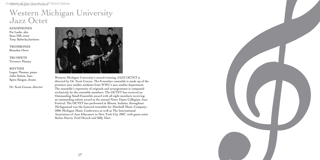Western Michigan University's award-winning JAZZ OCTET is directed by Dr. Scott Cowan. The 8-member ensemble is made up of the premiere jazz studies students from WMU's jazz studies department. The ensemble's repertoire of originals and arrangements is composed exclusively by the ensemble members. The OCTET has received an Outstanding Small Ensemble award with all eight members receiving an outstanding soloist award at the annual Notre Dame Collegiate Jazz Festival. The OCTET has performed in Illinois, Indiana, throughout Michiganand was the featured ensemble for Marshall Music Company-2006 Michigan Music Conference as well as The International Association of Jazz Educators in New York City 2007, with guest artist Stefon Harris, Fred Hersch and Billy Hart.



**TROMBONES** Brandon Drew

Arghives on the University of Notre Dame

### Western Michigan University Jazz Octet

#### SAxOPHONES

Pat Laslie, alto Sean Hill, tenor Tony Babecka,baritone

TRUMPETS Terrence Massey

#### RHYTHM

Logan Thomas, piano John Sutton, bass Spiro Sinigos, drums

Dr. Scott Cowan, director